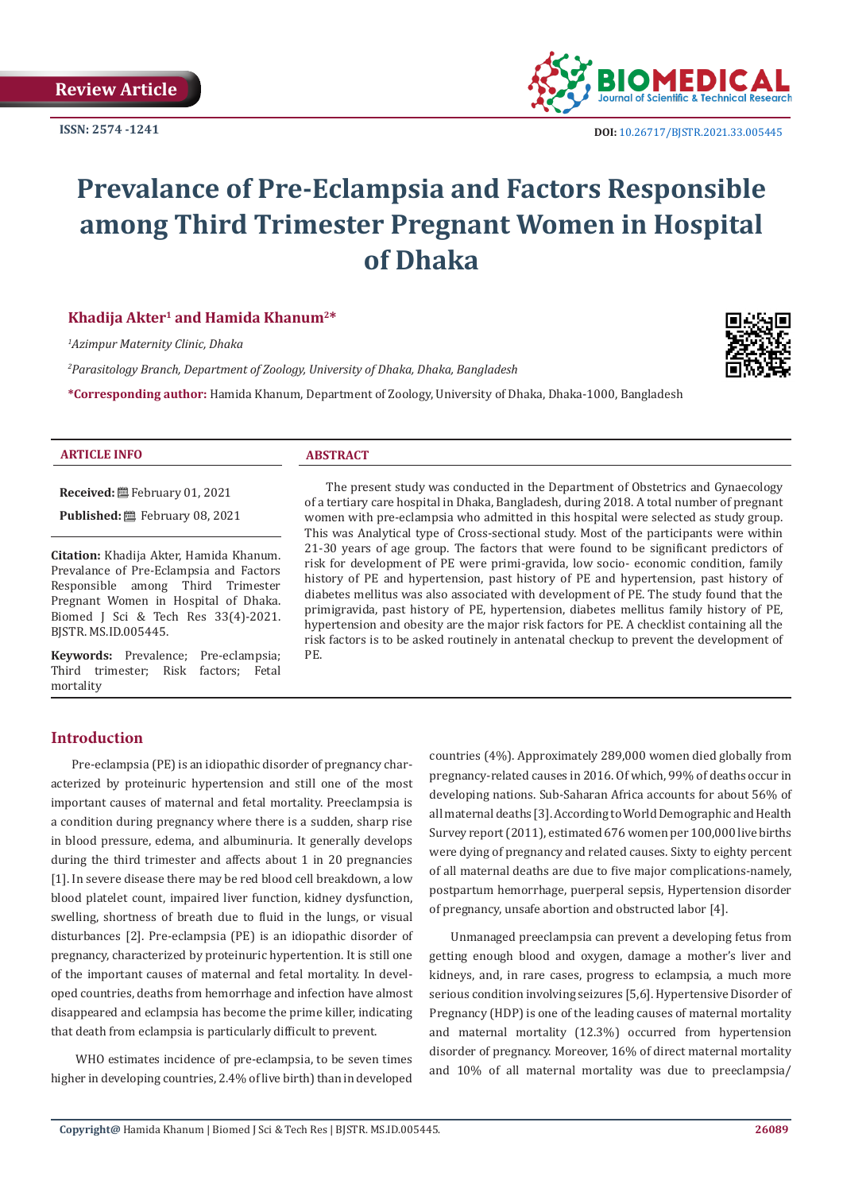**ISSN: 2574 -1241**



# **Prevalance of Pre-Eclampsia and Factors Responsible among Third Trimester Pregnant Women in Hospital of Dhaka**

# **Khadija Akter1 and Hamida Khanum2\***

*1 Azimpur Maternity Clinic, Dhaka*

*2 Parasitology Branch, Department of Zoology, University of Dhaka, Dhaka, Bangladesh*

**\*Corresponding author:** Hamida Khanum, Department of Zoology, University of Dhaka, Dhaka-1000, Bangladesh



#### **ARTICLE INFO ABSTRACT**

**Received:** February 01, 2021

Published: **■**February 08, 2021

**Citation:** Khadija Akter, Hamida Khanum. Prevalance of Pre-Eclampsia and Factors Responsible among Third Trimester Pregnant Women in Hospital of Dhaka. Biomed J Sci & Tech Res 33(4)-2021. BJSTR. MS.ID.005445.

**Keywords:** Prevalence; Pre-eclampsia; Third trimester; Risk factors; Fetal mortality

The present study was conducted in the Department of Obstetrics and Gynaecology of a tertiary care hospital in Dhaka, Bangladesh, during 2018. A total number of pregnant women with pre-eclampsia who admitted in this hospital were selected as study group. This was Analytical type of Cross-sectional study. Most of the participants were within 21-30 years of age group. The factors that were found to be significant predictors of risk for development of PE were primi-gravida, low socio- economic condition, family history of PE and hypertension, past history of PE and hypertension, past history of diabetes mellitus was also associated with development of PE. The study found that the primigravida, past history of PE, hypertension, diabetes mellitus family history of PE, hypertension and obesity are the major risk factors for PE. A checklist containing all the risk factors is to be asked routinely in antenatal checkup to prevent the development of PE.

# **Introduction**

Pre-eclampsia (PE) is an idiopathic disorder of pregnancy characterized by proteinuric hypertension and still one of the most important causes of maternal and fetal mortality. Preeclampsia is a condition during pregnancy where there is a sudden, sharp rise in blood pressure, edema, and albuminuria. It generally develops during the third trimester and affects about 1 in 20 pregnancies [1]. In severe disease there may be red blood cell breakdown, a low blood platelet count, impaired liver function, kidney dysfunction, swelling, shortness of breath due to fluid in the lungs, or visual disturbances [2]. Pre-eclampsia (PE) is an idiopathic disorder of pregnancy, characterized by proteinuric hypertention. It is still one of the important causes of maternal and fetal mortality. In developed countries, deaths from hemorrhage and infection have almost disappeared and eclampsia has become the prime killer, indicating that death from eclampsia is particularly difficult to prevent.

 WHO estimates incidence of pre-eclampsia, to be seven times higher in developing countries, 2.4% of live birth) than in developed

countries (4%). Approximately 289,000 women died globally from pregnancy-related causes in 2016. Of which, 99% of deaths occur in developing nations. Sub-Saharan Africa accounts for about 56% of all maternal deaths [3]. According to World Demographic and Health Survey report (2011), estimated 676 women per 100,000 live births were dying of pregnancy and related causes. Sixty to eighty percent of all maternal deaths are due to five major complications-namely, postpartum hemorrhage, puerperal sepsis, Hypertension disorder of pregnancy, unsafe abortion and obstructed labor [4].

Unmanaged preeclampsia can prevent a developing fetus from getting enough blood and oxygen, damage a mother's liver and kidneys, and, in rare cases, progress to eclampsia, a much more serious condition involving seizures [5,6]. Hypertensive Disorder of Pregnancy (HDP) is one of the leading causes of maternal mortality and maternal mortality (12.3%) occurred from hypertension disorder of pregnancy. Moreover, 16% of direct maternal mortality and 10% of all maternal mortality was due to preeclampsia/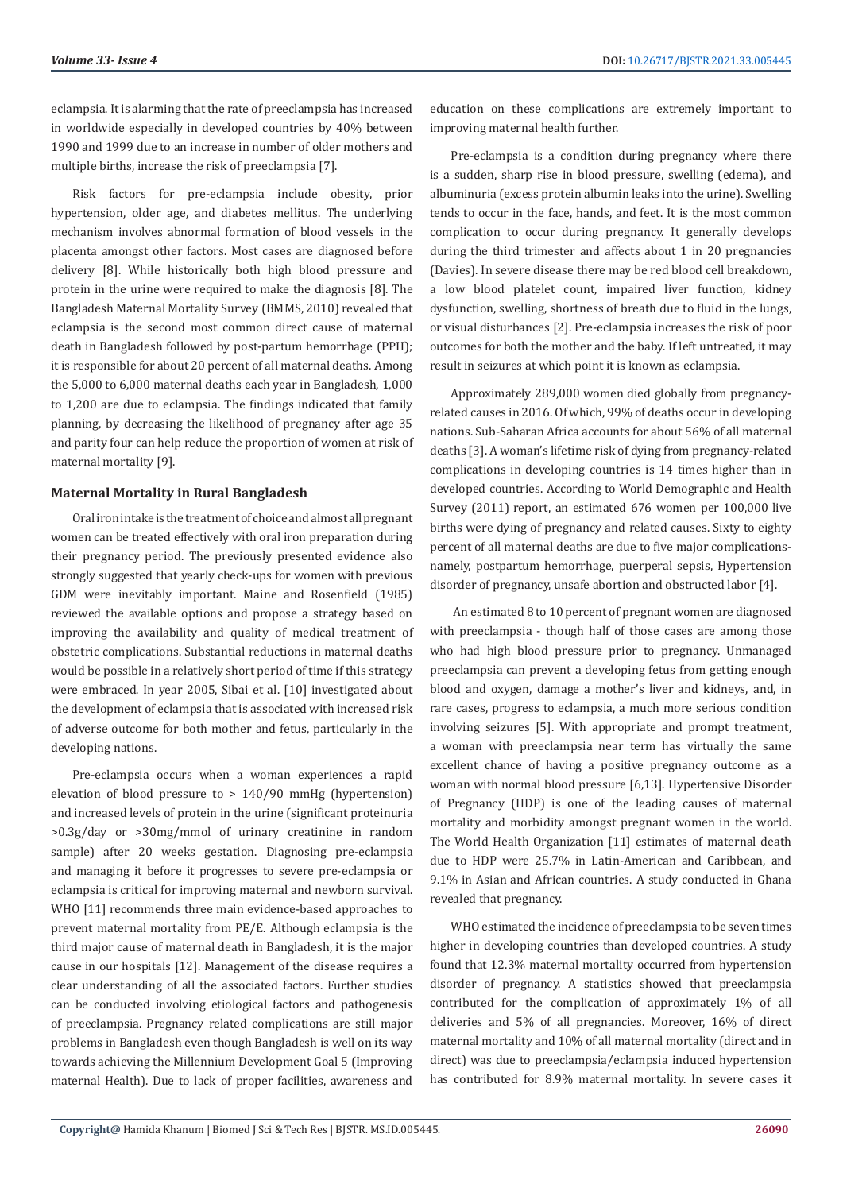eclampsia. It is alarming that the rate of preeclampsia has increased in worldwide especially in developed countries by 40% between 1990 and 1999 due to an increase in number of older mothers and multiple births, increase the risk of preeclampsia [7].

Risk factors for pre-eclampsia include obesity, prior hypertension, older age, and diabetes mellitus. The underlying mechanism involves abnormal formation of blood vessels in the placenta amongst other factors. Most cases are diagnosed before delivery [8]. While historically both high blood pressure and protein in the urine were required to make the diagnosis [8]. The Bangladesh Maternal Mortality Survey (BMMS, 2010) revealed that eclampsia is the second most common direct cause of maternal death in Bangladesh followed by post-partum hemorrhage (PPH); it is responsible for about 20 percent of all maternal deaths. Among the 5,000 to 6,000 maternal deaths each year in Bangladesh, 1,000 to 1,200 are due to eclampsia. The findings indicated that family planning, by decreasing the likelihood of pregnancy after age 35 and parity four can help reduce the proportion of women at risk of maternal mortality [9].

# **Maternal Mortality in Rural Bangladesh**

Oral iron intake is the treatment of choice and almost all pregnant women can be treated effectively with oral iron preparation during their pregnancy period. The previously presented evidence also strongly suggested that yearly check-ups for women with previous GDM were inevitably important. Maine and Rosenfield (1985) reviewed the available options and propose a strategy based on improving the availability and quality of medical treatment of obstetric complications. Substantial reductions in maternal deaths would be possible in a relatively short period of time if this strategy were embraced. In year 2005, Sibai et al. [10] investigated about the development of eclampsia that is associated with increased risk of adverse outcome for both mother and fetus, particularly in the developing nations.

Pre-eclampsia occurs when a woman experiences a rapid elevation of blood pressure to > 140/90 mmHg (hypertension) and increased levels of protein in the urine (significant proteinuria >0.3g/day or >30mg/mmol of urinary creatinine in random sample) after 20 weeks gestation. Diagnosing pre-eclampsia and managing it before it progresses to severe pre-eclampsia or eclampsia is critical for improving maternal and newborn survival. WHO [11] recommends three main evidence-based approaches to prevent maternal mortality from PE/E. Although eclampsia is the third major cause of maternal death in Bangladesh, it is the major cause in our hospitals [12]. Management of the disease requires a clear understanding of all the associated factors. Further studies can be conducted involving etiological factors and pathogenesis of preeclampsia. Pregnancy related complications are still major problems in Bangladesh even though Bangladesh is well on its way towards achieving the Millennium Development Goal 5 (Improving maternal Health). Due to lack of proper facilities, awareness and

education on these complications are extremely important to improving maternal health further.

Pre-eclampsia is a condition during pregnancy where there is a sudden, sharp rise in blood pressure, swelling (edema), and albuminuria (excess protein albumin leaks into the urine). Swelling tends to occur in the face, hands, and feet. It is the most common complication to occur during pregnancy. It generally develops during the third trimester and affects about 1 in 20 pregnancies (Davies). In severe disease there may be red blood cell breakdown, a low blood platelet count, impaired liver function, kidney dysfunction, swelling, shortness of breath due to fluid in the lungs, or visual disturbances [2]. Pre-eclampsia increases the risk of poor outcomes for both the mother and the baby. If left untreated, it may result in seizures at which point it is known as eclampsia.

Approximately 289,000 women died globally from pregnancyrelated causes in 2016. Of which, 99% of deaths occur in developing nations. Sub-Saharan Africa accounts for about 56% of all maternal deaths [3]. A woman's lifetime risk of dying from pregnancy-related complications in developing countries is 14 times higher than in developed countries. According to World Demographic and Health Survey (2011) report, an estimated 676 women per 100,000 live births were dying of pregnancy and related causes. Sixty to eighty percent of all maternal deaths are due to five major complicationsnamely, postpartum hemorrhage, puerperal sepsis, Hypertension disorder of pregnancy, unsafe abortion and obstructed labor [4].

 An estimated 8 to 10 percent of pregnant women are diagnosed with preeclampsia - though half of those cases are among those who had high blood pressure prior to pregnancy. Unmanaged preeclampsia can prevent a developing fetus from getting enough blood and oxygen, damage a mother's liver and kidneys, and, in rare cases, progress to eclampsia, a much more serious condition involving seizures [5]. With appropriate and prompt treatment, a woman with preeclampsia near term has virtually the same excellent chance of having a positive pregnancy outcome as a woman with normal blood pressure [6,13]. Hypertensive Disorder of Pregnancy (HDP) is one of the leading causes of maternal mortality and morbidity amongst pregnant women in the world. The World Health Organization [11] estimates of maternal death due to HDP were 25.7% in Latin-American and Caribbean, and 9.1% in Asian and African countries. A study conducted in Ghana revealed that pregnancy.

WHO estimated the incidence of preeclampsia to be seven times higher in developing countries than developed countries. A study found that 12.3% maternal mortality occurred from hypertension disorder of pregnancy. A statistics showed that preeclampsia contributed for the complication of approximately 1% of all deliveries and 5% of all pregnancies. Moreover, 16% of direct maternal mortality and 10% of all maternal mortality (direct and in direct) was due to preeclampsia/eclampsia induced hypertension has contributed for 8.9% maternal mortality. In severe cases it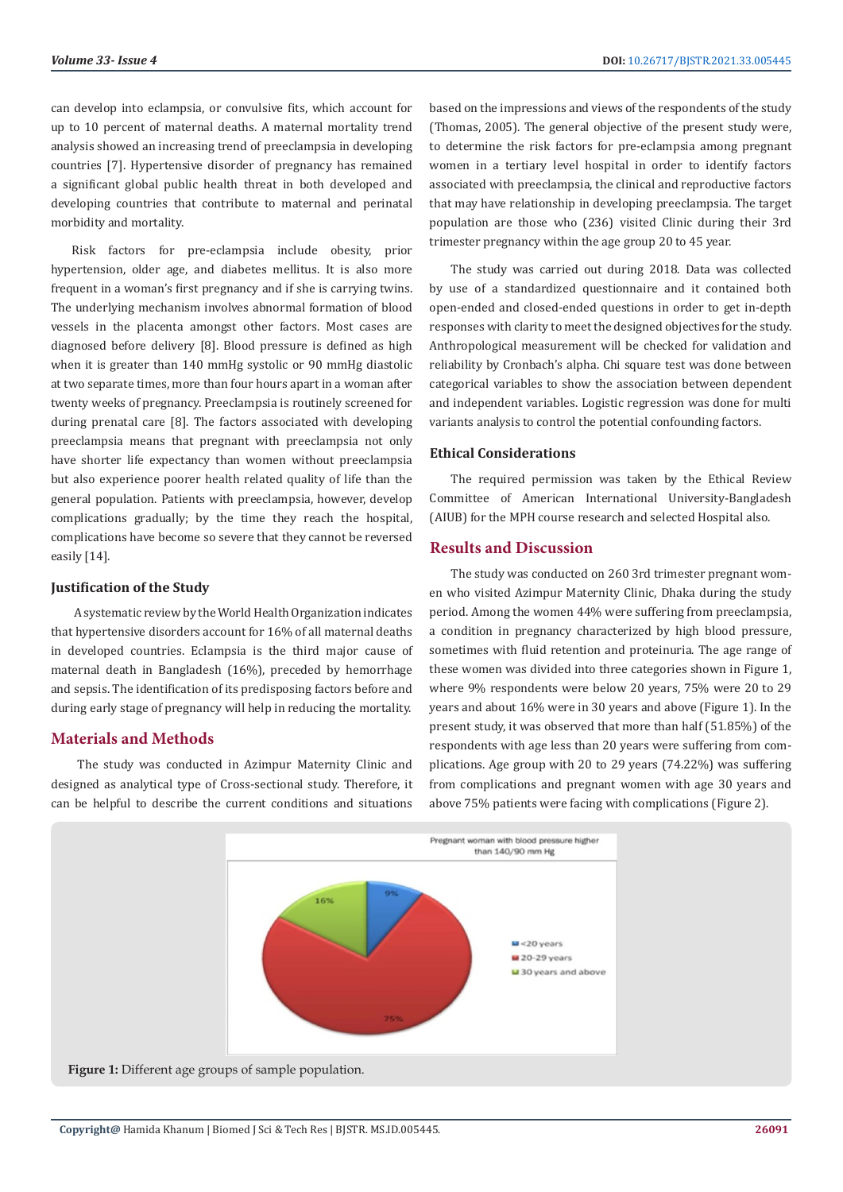can develop into eclampsia, or convulsive fits, which account for up to 10 percent of maternal deaths. A maternal mortality trend analysis showed an increasing trend of preeclampsia in developing countries [7]. Hypertensive disorder of pregnancy has remained a significant global public health threat in both developed and developing countries that contribute to maternal and perinatal morbidity and mortality.

Risk factors for pre-eclampsia include obesity, prior hypertension, older age, and diabetes mellitus. It is also more frequent in a woman's first pregnancy and if she is carrying twins. The underlying mechanism involves abnormal formation of blood vessels in the placenta amongst other factors. Most cases are diagnosed before delivery [8]. Blood pressure is defined as high when it is greater than 140 mmHg systolic or 90 mmHg diastolic at two separate times, more than four hours apart in a woman after twenty weeks of pregnancy. Preeclampsia is routinely screened for during prenatal care [8]. The factors associated with developing preeclampsia means that pregnant with preeclampsia not only have shorter life expectancy than women without preeclampsia but also experience poorer health related quality of life than the general population. Patients with preeclampsia, however, develop complications gradually; by the time they reach the hospital, complications have become so severe that they cannot be reversed easily [14].

## **Justification of the Study**

 A systematic review by the World Health Organization indicates that hypertensive disorders account for 16% of all maternal deaths in developed countries. Eclampsia is the third major cause of maternal death in Bangladesh (16%), preceded by hemorrhage and sepsis. The identification of its predisposing factors before and during early stage of pregnancy will help in reducing the mortality.

# **Materials and Methods**

 The study was conducted in Azimpur Maternity Clinic and designed as analytical type of Cross-sectional study. Therefore, it can be helpful to describe the current conditions and situations

based on the impressions and views of the respondents of the study (Thomas, 2005). The general objective of the present study were, to determine the risk factors for pre-eclampsia among pregnant women in a tertiary level hospital in order to identify factors associated with preeclampsia, the clinical and reproductive factors that may have relationship in developing preeclampsia. The target population are those who (236) visited Clinic during their 3rd trimester pregnancy within the age group 20 to 45 year.

The study was carried out during 2018. Data was collected by use of a standardized questionnaire and it contained both open-ended and closed-ended questions in order to get in-depth responses with clarity to meet the designed objectives for the study. Anthropological measurement will be checked for validation and reliability by Cronbach's alpha. Chi square test was done between categorical variables to show the association between dependent and independent variables. Logistic regression was done for multi variants analysis to control the potential confounding factors.

## **Ethical Considerations**

The required permission was taken by the Ethical Review Committee of American International University-Bangladesh (AIUB) for the MPH course research and selected Hospital also.

# **Results and Discussion**

The study was conducted on 260 3rd trimester pregnant women who visited Azimpur Maternity Clinic, Dhaka during the study period. Among the women 44% were suffering from preeclampsia, a condition in pregnancy characterized by high blood pressure, sometimes with fluid retention and proteinuria. The age range of these women was divided into three categories shown in Figure 1, where 9% respondents were below 20 years, 75% were 20 to 29 years and about 16% were in 30 years and above (Figure 1). In the present study, it was observed that more than half (51.85%) of the respondents with age less than 20 years were suffering from complications. Age group with 20 to 29 years (74.22%) was suffering from complications and pregnant women with age 30 years and above 75% patients were facing with complications (Figure 2).



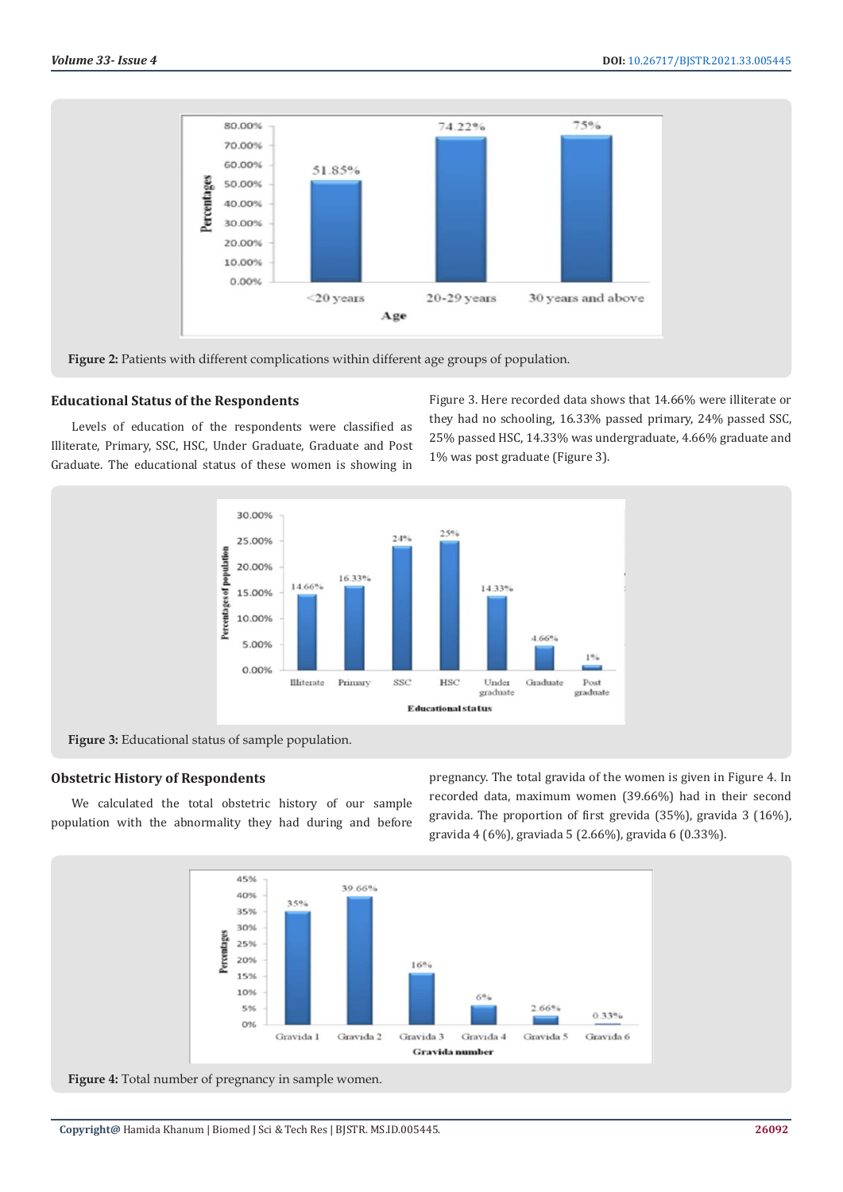

Figure 2: Patients with different complications within different age groups of population.

# **Educational Status of the Respondents**

Levels of education of the respondents were classified as Illiterate, Primary, SSC, HSC, Under Graduate, Graduate and Post Graduate. The educational status of these women is showing in

Figure 3. Here recorded data shows that 14.66% were illiterate or they had no schooling, 16.33% passed primary, 24% passed SSC, 25% passed HSC, 14.33% was undergraduate, 4.66% graduate and 1% was post graduate (Figure 3).



**Figure 3:** Educational status of sample population.

#### **Obstetric History of Respondents**

We calculated the total obstetric history of our sample population with the abnormality they had during and before pregnancy. The total gravida of the women is given in Figure 4. In recorded data, maximum women (39.66%) had in their second gravida. The proportion of first grevida (35%), gravida 3 (16%), gravida 4 (6%), graviada 5 (2.66%), gravida 6 (0.33%).



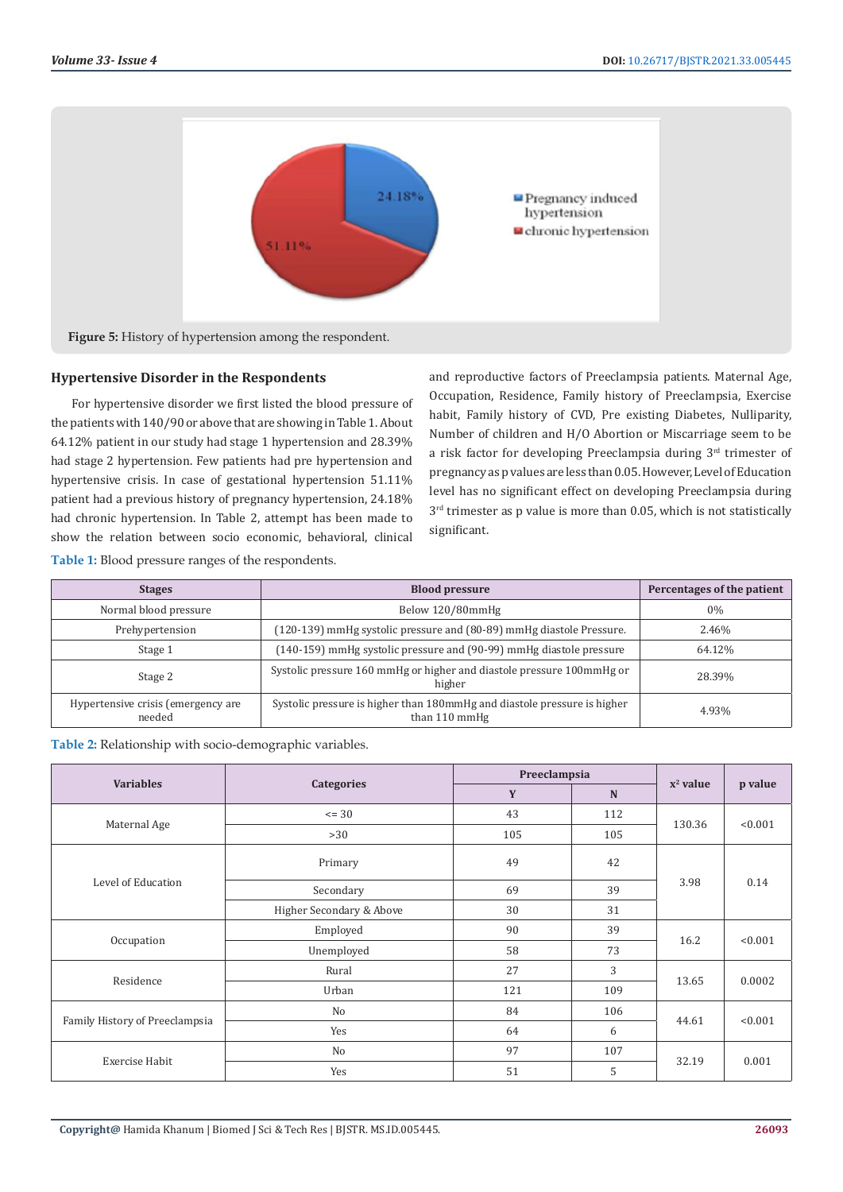

## **Hypertensive Disorder in the Respondents**

**Table 1:** Blood pressure ranges of the respondents.

For hypertensive disorder we first listed the blood pressure of the patients with 140/90 or above that are showing in Table 1. About 64.12% patient in our study had stage 1 hypertension and 28.39% had stage 2 hypertension. Few patients had pre hypertension and hypertensive crisis. In case of gestational hypertension 51.11% patient had a previous history of pregnancy hypertension, 24.18% had chronic hypertension. In Table 2, attempt has been made to show the relation between socio economic, behavioral, clinical

and reproductive factors of Preeclampsia patients. Maternal Age, Occupation, Residence, Family history of Preeclampsia, Exercise habit, Family history of CVD, Pre existing Diabetes, Nulliparity, Number of children and H/O Abortion or Miscarriage seem to be a risk factor for developing Preeclampsia during  $3<sup>rd</sup>$  trimester of pregnancy as p values are less than 0.05. However, Level of Education level has no significant effect on developing Preeclampsia during 3<sup>rd</sup> trimester as p value is more than 0.05, which is not statistically significant.

| <b>Stages</b>                                | <b>Blood pressure</b>                                                                     | Percentages of the patient |
|----------------------------------------------|-------------------------------------------------------------------------------------------|----------------------------|
| Normal blood pressure                        | Below 120/80mmHg                                                                          | $0\%$                      |
| Prehypertension                              | (120-139) mmHg systolic pressure and (80-89) mmHg diastole Pressure.                      | 2.46%                      |
| Stage 1                                      | (140-159) mmHg systolic pressure and (90-99) mmHg diastole pressure                       | 64.12%                     |
| Stage 2                                      | Systolic pressure 160 mmHg or higher and diastole pressure 100mmHg or<br>higher           |                            |
| Hypertensive crisis (emergency are<br>needed | Systolic pressure is higher than 180mmHg and diastole pressure is higher<br>than 110 mmHg | 4.93%                      |

| Table 2: Relationship with socio-demographic variables. |  |  |  |
|---------------------------------------------------------|--|--|--|
|---------------------------------------------------------|--|--|--|

| <b>Variables</b>               |                          | Preeclampsia | $x^2$ value |        |         |
|--------------------------------|--------------------------|--------------|-------------|--------|---------|
|                                | <b>Categories</b>        | Y            | $\mathbf N$ |        | p value |
|                                | $= 30$                   | 43           | 112         | 130.36 | < 0.001 |
| Maternal Age                   | >30                      | 105          | 105         |        |         |
| Level of Education             | Primary                  | 49<br>42     |             |        |         |
|                                | Secondary                | 69           | 39          | 3.98   | 0.14    |
|                                | Higher Secondary & Above | 30           | 31          |        |         |
| Occupation                     | Employed                 | 90           | 39          | 16.2   | < 0.001 |
|                                | Unemployed               | 58           | 73          |        |         |
| Residence                      | Rural                    | 27           | 3           | 13.65  | 0.0002  |
|                                | Urban                    | 121          | 109         |        |         |
| Family History of Preeclampsia | No                       | 84           | 106         |        | < 0.001 |
|                                | Yes                      | 64           | 6           | 44.61  |         |
| Exercise Habit                 | No                       | 97           | 107         | 32.19  | 0.001   |
|                                | Yes                      | 51           | 5           |        |         |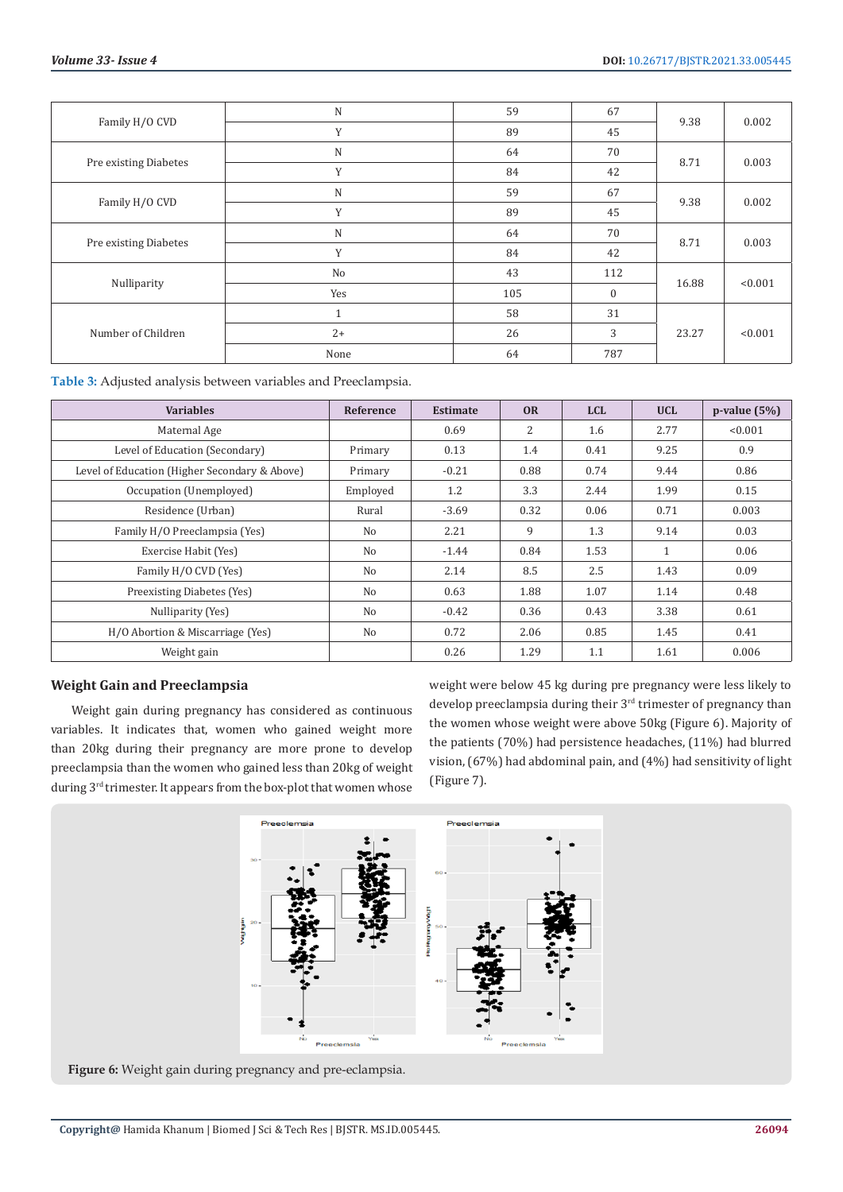| Family H/O CVD        | $\mathbf N$          | 59  | 67           |       | 0.002   |
|-----------------------|----------------------|-----|--------------|-------|---------|
|                       | Y                    | 89  | 45           | 9.38  |         |
| Pre existing Diabetes | ${\bf N}$            | 64  | 70           |       | 0.003   |
|                       | Y                    | 84  | 42           | 8.71  |         |
| Family H/O CVD        | ${\bf N}$            | 59  | 67           |       | 0.002   |
|                       | Y                    | 89  | 45           | 9.38  |         |
| Pre existing Diabetes | $\mathbf N$          | 64  | 70           |       | 0.003   |
|                       | Y                    | 84  | 42           | 8.71  |         |
| Nulliparity           | No                   | 43  | 112          |       | < 0.001 |
|                       | Yes                  | 105 | $\mathbf{0}$ | 16.88 |         |
| Number of Children    | $\blacktriangleleft$ | 58  | 31           |       |         |
|                       | $2+$                 | 26  | 3            | 23.27 | < 0.001 |
|                       | None                 | 64  | 787          |       |         |

**Table 3:** Adjusted analysis between variables and Preeclampsia.

| <b>Variables</b>                              | Reference | <b>Estimate</b> | <b>OR</b> | <b>LCL</b> | <b>UCL</b> | $p$ -value $(5%)$ |
|-----------------------------------------------|-----------|-----------------|-----------|------------|------------|-------------------|
| Maternal Age                                  |           | 0.69            | 2         | 1.6        | 2.77       | < 0.001           |
| Level of Education (Secondary)                | Primary   | 0.13            | 1.4       | 0.41       | 9.25       | 0.9               |
| Level of Education (Higher Secondary & Above) | Primary   | $-0.21$         | 0.88      | 0.74       | 9.44       | 0.86              |
| Occupation (Unemployed)                       | Employed  | 1.2             | 3.3       | 2.44       | 1.99       | 0.15              |
| Residence (Urban)                             | Rural     | $-3.69$         | 0.32      | 0.06       | 0.71       | 0.003             |
| Family H/O Preeclampsia (Yes)                 | No        | 2.21            | 9         | 1.3        | 9.14       | 0.03              |
| Exercise Habit (Yes)                          | No        | $-1.44$         | 0.84      | 1.53       | 1          | 0.06              |
| Family H/O CVD (Yes)                          | No        | 2.14            | 8.5       | 2.5        | 1.43       | 0.09              |
| Preexisting Diabetes (Yes)                    | No        | 0.63            | 1.88      | 1.07       | 1.14       | 0.48              |
| Nulliparity (Yes)                             | No        | $-0.42$         | 0.36      | 0.43       | 3.38       | 0.61              |
| H/O Abortion & Miscarriage (Yes)              | No        | 0.72            | 2.06      | 0.85       | 1.45       | 0.41              |
| Weight gain                                   |           | 0.26            | 1.29      | 1.1        | 1.61       | 0.006             |

# **Weight Gain and Preeclampsia**

Weight gain during pregnancy has considered as continuous variables. It indicates that, women who gained weight more than 20kg during their pregnancy are more prone to develop preeclampsia than the women who gained less than 20kg of weight during 3<sup>rd</sup> trimester. It appears from the box-plot that women whose

weight were below 45 kg during pre pregnancy were less likely to develop preeclampsia during their 3rd trimester of pregnancy than the women whose weight were above 50kg (Figure 6). Majority of the patients (70%) had persistence headaches, (11%) had blurred vision, (67%) had abdominal pain, and (4%) had sensitivity of light (Figure 7).



**Figure 6:** Weight gain during pregnancy and pre-eclampsia.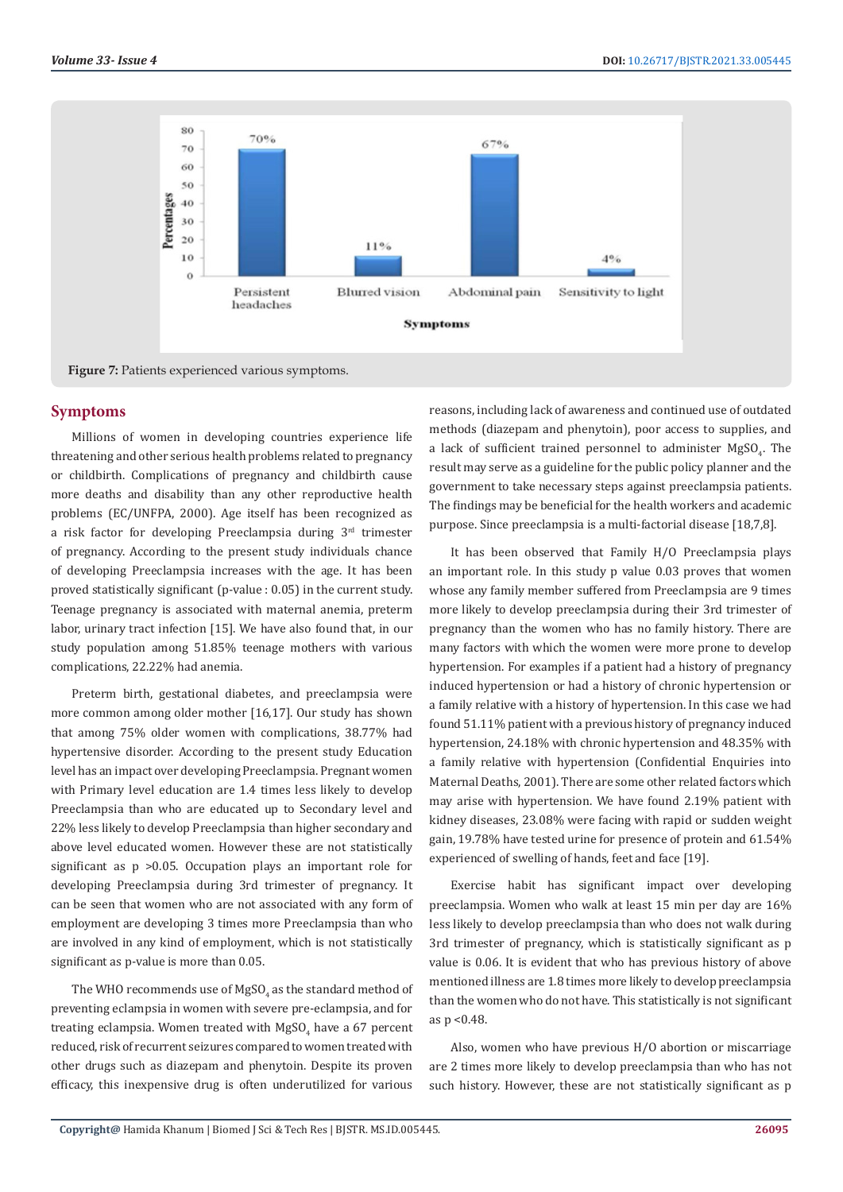

# **Symptoms**

Millions of women in developing countries experience life threatening and other serious health problems related to pregnancy or childbirth. Complications of pregnancy and childbirth cause more deaths and disability than any other reproductive health problems (EC/UNFPA, 2000). Age itself has been recognized as a risk factor for developing Preeclampsia during 3rd trimester of pregnancy. According to the present study individuals chance of developing Preeclampsia increases with the age. It has been proved statistically significant (p-value : 0.05) in the current study. Teenage pregnancy is associated with maternal anemia, preterm labor, urinary tract infection [15]. We have also found that, in our study population among 51.85% teenage mothers with various complications, 22.22% had anemia.

Preterm birth, gestational diabetes, and preeclampsia were more common among older mother [16,17]. Our study has shown that among 75% older women with complications, 38.77% had hypertensive disorder. According to the present study Education level has an impact over developing Preeclampsia. Pregnant women with Primary level education are 1.4 times less likely to develop Preeclampsia than who are educated up to Secondary level and 22% less likely to develop Preeclampsia than higher secondary and above level educated women. However these are not statistically significant as p >0.05. Occupation plays an important role for developing Preeclampsia during 3rd trimester of pregnancy. It can be seen that women who are not associated with any form of employment are developing 3 times more Preeclampsia than who are involved in any kind of employment, which is not statistically significant as p-value is more than 0.05.

The WHO recommends use of MgSO $_4$  as the standard method of preventing eclampsia in women with severe pre-eclampsia, and for treating eclampsia. Women treated with MgSO<sub>4</sub> have a 67 percent reduced, risk of recurrent seizures compared to women treated with other drugs such as diazepam and phenytoin. Despite its proven efficacy, this inexpensive drug is often underutilized for various

reasons, including lack of awareness and continued use of outdated methods (diazepam and phenytoin), poor access to supplies, and a lack of sufficient trained personnel to administer  $\text{MgSO}_4$ . The result may serve as a guideline for the public policy planner and the government to take necessary steps against preeclampsia patients. The findings may be beneficial for the health workers and academic purpose. Since preeclampsia is a multi-factorial disease [18,7,8].

It has been observed that Family H/O Preeclampsia plays an important role. In this study p value 0.03 proves that women whose any family member suffered from Preeclampsia are 9 times more likely to develop preeclampsia during their 3rd trimester of pregnancy than the women who has no family history. There are many factors with which the women were more prone to develop hypertension. For examples if a patient had a history of pregnancy induced hypertension or had a history of chronic hypertension or a family relative with a history of hypertension. In this case we had found 51.11% patient with a previous history of pregnancy induced hypertension, 24.18% with chronic hypertension and 48.35% with a family relative with hypertension (Confidential Enquiries into Maternal Deaths, 2001). There are some other related factors which may arise with hypertension. We have found 2.19% patient with kidney diseases, 23.08% were facing with rapid or sudden weight gain, 19.78% have tested urine for presence of protein and 61.54% experienced of swelling of hands, feet and face [19].

Exercise habit has significant impact over developing preeclampsia. Women who walk at least 15 min per day are 16% less likely to develop preeclampsia than who does not walk during 3rd trimester of pregnancy, which is statistically significant as p value is 0.06. It is evident that who has previous history of above mentioned illness are 1.8 times more likely to develop preeclampsia than the women who do not have. This statistically is not significant as p <0.48.

Also, women who have previous H/O abortion or miscarriage are 2 times more likely to develop preeclampsia than who has not such history. However, these are not statistically significant as p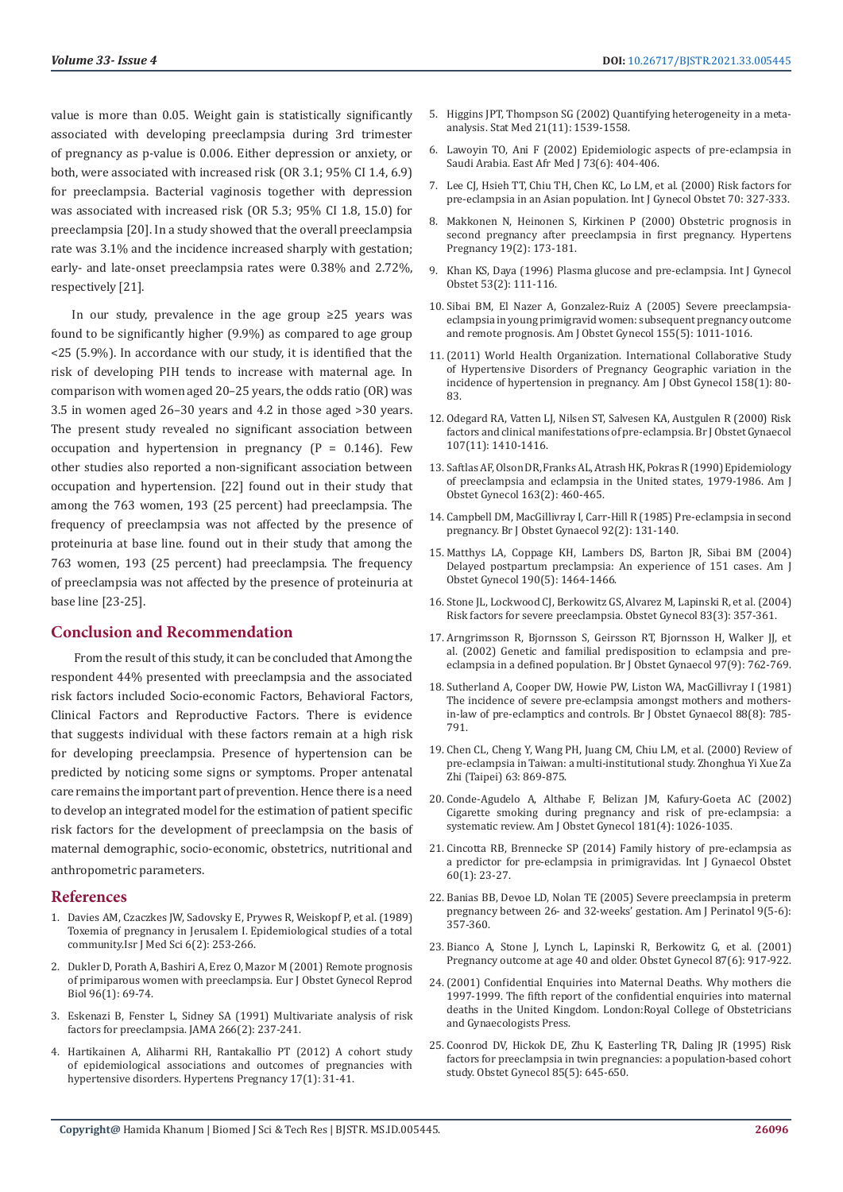value is more than 0.05. Weight gain is statistically significantly associated with developing preeclampsia during 3rd trimester of pregnancy as p-value is 0.006. Either depression or anxiety, or both, were associated with increased risk (OR 3.1; 95% CI 1.4, 6.9) for preeclampsia. Bacterial vaginosis together with depression was associated with increased risk (OR 5.3; 95% CI 1.8, 15.0) for preeclampsia [20]. In a study showed that the overall preeclampsia rate was 3.1% and the incidence increased sharply with gestation; early- and late-onset preeclampsia rates were 0.38% and 2.72%, respectively [21].

In our study, prevalence in the age group ≥25 years was found to be significantly higher (9.9%) as compared to age group <25 (5.9%). In accordance with our study, it is identified that the risk of developing PIH tends to increase with maternal age. In comparison with women aged 20–25 years, the odds ratio (OR) was 3.5 in women aged 26–30 years and 4.2 in those aged >30 years. The present study revealed no significant association between occupation and hypertension in pregnancy  $(P = 0.146)$ . Few other studies also reported a non-significant association between occupation and hypertension. [22] found out in their study that among the 763 women, 193 (25 percent) had preeclampsia. The frequency of preeclampsia was not affected by the presence of proteinuria at base line. found out in their study that among the 763 women, 193 (25 percent) had preeclampsia. The frequency of preeclampsia was not affected by the presence of proteinuria at base line [23-25].

## **Conclusion and Recommendation**

 From the result of this study, it can be concluded that Among the respondent 44% presented with preeclampsia and the associated risk factors included Socio-economic Factors, Behavioral Factors, Clinical Factors and Reproductive Factors. There is evidence that suggests individual with these factors remain at a high risk for developing preeclampsia. Presence of hypertension can be predicted by noticing some signs or symptoms. Proper antenatal care remains the important part of prevention. Hence there is a need to develop an integrated model for the estimation of patient specific risk factors for the development of preeclampsia on the basis of maternal demographic, socio-economic, obstetrics, nutritional and anthropometric parameters.

#### **References**

- 1. [Davies AM, Czaczkes JW, Sadovsky E, Prywes R, Weiskopf P, et al. \(1989\)](https://pubmed.ncbi.nlm.nih.gov/5506239/)  [Toxemia of pregnancy in Jerusalem I. Epidemiological studies of a total](https://pubmed.ncbi.nlm.nih.gov/5506239/)  [community.Isr J Med Sci 6\(2\): 253-266.](https://pubmed.ncbi.nlm.nih.gov/5506239/)
- 2. [Dukler D, Porath A, Bashiri A, Erez O, Mazor M \(2001\) Remote prognosis](https://www.researchgate.net/publication/12022507_Remote_prognosis_of_primiparous_women_with_preeclampsia)  [of primiparous women with preeclampsia. Eur J Obstet Gynecol Reprod](https://www.researchgate.net/publication/12022507_Remote_prognosis_of_primiparous_women_with_preeclampsia)  [Biol 96\(1\): 69-74.](https://www.researchgate.net/publication/12022507_Remote_prognosis_of_primiparous_women_with_preeclampsia)
- 3. [Eskenazi B, Fenster L, Sidney SA \(1991\) Multivariate analysis of risk](https://jamanetwork.com/journals/jama/article-abstract/386464)  [factors for preeclampsia. JAMA 266\(2\): 237-241.](https://jamanetwork.com/journals/jama/article-abstract/386464)
- 4. [Hartikainen A, Aliharmi RH, Rantakallio PT \(2012\) A cohort study](https://www.tandfonline.com/doi/abs/10.3109/10641959809072236)  [of epidemiological associations and outcomes of pregnancies with](https://www.tandfonline.com/doi/abs/10.3109/10641959809072236)  [hypertensive disorders. Hypertens Pregnancy 17\(1\): 31-41.](https://www.tandfonline.com/doi/abs/10.3109/10641959809072236)
- 5. [Higgins JPT, Thompson SG \(2002\) Quantifying heterogeneity in a meta](https://pubmed.ncbi.nlm.nih.gov/12111919/)[analysis. Stat Med 21\(11\): 1539-1558.](https://pubmed.ncbi.nlm.nih.gov/12111919/)
- 6. [Lawoyin TO, Ani F \(2002\) Epidemiologic aspects of pre-eclampsia in](https://pubmed.ncbi.nlm.nih.gov/8840604/) [Saudi Arabia. East Afr Med J 73\(6\): 404-406.](https://pubmed.ncbi.nlm.nih.gov/8840604/)
- 7. [Lee CJ, Hsieh TT, Chiu TH, Chen KC, Lo LM, et al. \(2000\) Risk factors for](https://www.researchgate.net/publication/246167999_Risk_factors_for_preeclampsia_in_an_Asian_population) [pre-eclampsia in an Asian population. Int J Gynecol Obstet 70: 327-333.](https://www.researchgate.net/publication/246167999_Risk_factors_for_preeclampsia_in_an_Asian_population)
- 8. [Makkonen N, Heinonen S, Kirkinen P \(2000\) Obstetric prognosis in](https://www.researchgate.net/publication/12440960_Obstetric_prognosis_in_second_pregnancy_after_preeclampsia_in_first_pregnancy) [second pregnancy after preeclampsia in first pregnancy. Hypertens](https://www.researchgate.net/publication/12440960_Obstetric_prognosis_in_second_pregnancy_after_preeclampsia_in_first_pregnancy) [Pregnancy 19\(2\): 173-181.](https://www.researchgate.net/publication/12440960_Obstetric_prognosis_in_second_pregnancy_after_preeclampsia_in_first_pregnancy)
- 9. [Khan KS, Daya \(1996\) Plasma glucose and pre-eclampsia. Int J Gynecol](https://www.sciencedirect.com/science/article/abs/pii/0020729295026347) [Obstet 53\(2\): 111-116.](https://www.sciencedirect.com/science/article/abs/pii/0020729295026347)
- 10. [Sibai BM, El Nazer A, Gonzalez-Ruiz A \(2005\) Severe preeclampsia](https://pubmed.ncbi.nlm.nih.gov/3777042/)[eclampsia in young primigravid women: subsequent pregnancy outcome](https://pubmed.ncbi.nlm.nih.gov/3777042/) [and remote prognosis. Am J Obstet Gynecol 155\(5\): 1011-1016.](https://pubmed.ncbi.nlm.nih.gov/3777042/)
- 11.[\(2011\) World Health Organization. International Collaborative Study](https://pubmed.ncbi.nlm.nih.gov/2962500/) [of Hypertensive Disorders of Pregnancy Geographic variation in the](https://pubmed.ncbi.nlm.nih.gov/2962500/) [incidence of hypertension in pregnancy. Am J Obst Gynecol 158\(1\): 80-](https://pubmed.ncbi.nlm.nih.gov/2962500/) [83.](https://pubmed.ncbi.nlm.nih.gov/2962500/)
- 12. [Odegard RA, Vatten LJ, Nilsen ST, Salvesen KA, Austgulen R \(2000\) Risk](https://pubmed.ncbi.nlm.nih.gov/11117771/) [factors and clinical manifestations of pre-eclampsia. Br J Obstet Gynaecol](https://pubmed.ncbi.nlm.nih.gov/11117771/) [107\(11\): 1410-1416.](https://pubmed.ncbi.nlm.nih.gov/11117771/)
- 13. [Saftlas AF, Olson DR, Franks AL, Atrash HK, Pokras R \(1990\) Epidemiology](https://pubmed.ncbi.nlm.nih.gov/2386132/) [of preeclampsia and eclampsia in the United states, 1979-1986. Am J](https://pubmed.ncbi.nlm.nih.gov/2386132/) [Obstet Gynecol 163\(2\): 460-465.](https://pubmed.ncbi.nlm.nih.gov/2386132/)
- 14. [Campbell DM, MacGillivray I, Carr-Hill R \(1985\) Pre-eclampsia in second](https://pubmed.ncbi.nlm.nih.gov/3970893/) [pregnancy. Br J Obstet Gynaecol 92\(2\): 131-140.](https://pubmed.ncbi.nlm.nih.gov/3970893/)
- 15. [Matthys LA, Coppage KH, Lambers DS, Barton JR, Sibai BM \(2004\)](https://pubmed.ncbi.nlm.nih.gov/15167870/) [Delayed postpartum preclampsia: An experience of 151 cases. Am J](https://pubmed.ncbi.nlm.nih.gov/15167870/) [Obstet Gynecol 190\(5\): 1464-1466.](https://pubmed.ncbi.nlm.nih.gov/15167870/)
- 16. [Stone JL, Lockwood CJ, Berkowitz GS, Alvarez M, Lapinski R, et al. \(2004\)](https://pubmed.ncbi.nlm.nih.gov/8127525/) [Risk factors for severe preeclampsia. Obstet Gynecol 83\(3\): 357-361.](https://pubmed.ncbi.nlm.nih.gov/8127525/)
- 17. [Arngrimsson R, Bjornsson S, Geirsson RT, Bjornsson H, Walker JJ, et](https://pubmed.ncbi.nlm.nih.gov/2242360/) [al. \(2002\) Genetic and familial predisposition to eclampsia and pre](https://pubmed.ncbi.nlm.nih.gov/2242360/)[eclampsia in a defined population. Br J Obstet Gynaecol 97\(9\): 762-769.](https://pubmed.ncbi.nlm.nih.gov/2242360/)
- 18. [Sutherland A, Cooper DW, Howie PW, Liston WA, MacGillivray I \(1981\)](https://pubmed.ncbi.nlm.nih.gov/7259998/) [The incidence of severe pre-eclampsia amongst mothers and mothers](https://pubmed.ncbi.nlm.nih.gov/7259998/)[in-law of pre-eclamptics and controls. Br J Obstet Gynaecol 88\(8\): 785-](https://pubmed.ncbi.nlm.nih.gov/7259998/) [791.](https://pubmed.ncbi.nlm.nih.gov/7259998/)
- 19. [Chen CL, Cheng Y, Wang PH, Juang CM, Chiu LM, et al. \(2000\) Review of](https://www.meta.org/papers/review-of-pre-eclampsia-in-taiwan-a-multi-institut/11195137) [pre-eclampsia in Taiwan: a multi-institutional study. Zhonghua Yi Xue Za](https://www.meta.org/papers/review-of-pre-eclampsia-in-taiwan-a-multi-institut/11195137) [Zhi \(Taipei\) 63: 869-875.](https://www.meta.org/papers/review-of-pre-eclampsia-in-taiwan-a-multi-institut/11195137)
- 20. [Conde-Agudelo A, Althabe F, Belizan JM, Kafury-Goeta AC \(2002\)](https://pubmed.ncbi.nlm.nih.gov/10521771/) [Cigarette smoking during pregnancy and risk of pre-eclampsia: a](https://pubmed.ncbi.nlm.nih.gov/10521771/) [systematic review. Am J Obstet Gynecol 181\(4\): 1026-1035.](https://pubmed.ncbi.nlm.nih.gov/10521771/)
- 21. [Cincotta RB, Brennecke SP \(2014\) Family history of pre-eclampsia as](https://obgyn.onlinelibrary.wiley.com/doi/10.1016/S0020-7292%2897%2900241-5) [a predictor for pre-eclampsia in primigravidas. Int J Gynaecol Obstet](https://obgyn.onlinelibrary.wiley.com/doi/10.1016/S0020-7292%2897%2900241-5) [60\(1\): 23-27.](https://obgyn.onlinelibrary.wiley.com/doi/10.1016/S0020-7292%2897%2900241-5)
- 22. [Banias BB, Devoe LD, Nolan TE \(2005\) Severe preeclampsia in preterm](https://pubmed.ncbi.nlm.nih.gov/1418133/) [pregnancy between 26- and 32-weeks' gestation. Am J Perinatol 9\(5-6\):](https://pubmed.ncbi.nlm.nih.gov/1418133/) [357-360.](https://pubmed.ncbi.nlm.nih.gov/1418133/)
- 23. [Bianco A, Stone J, Lynch L, Lapinski R, Berkowitz G, et al. \(2001\)](https://pubmed.ncbi.nlm.nih.gov/8649698/) [Pregnancy outcome at age 40 and older. Obstet Gynecol 87\(6\): 917-922.](https://pubmed.ncbi.nlm.nih.gov/8649698/)
- 24.(2001) Confidential Enquiries into Maternal Deaths. Why mothers die 1997-1999. The fifth report of the confidential enquiries into maternal deaths in the United Kingdom. London:Royal College of Obstetricians and Gynaecologists Press.
- 25. [Coonrod DV, Hickok DE, Zhu K, Easterling TR, Daling JR \(1995\) Risk](https://www.sciencedirect.com/science/article/abs/pii/002978449500049W) [factors for preeclampsia in twin pregnancies: a population-based cohort](https://www.sciencedirect.com/science/article/abs/pii/002978449500049W) [study. Obstet Gynecol 85\(5\): 645-650.](https://www.sciencedirect.com/science/article/abs/pii/002978449500049W)